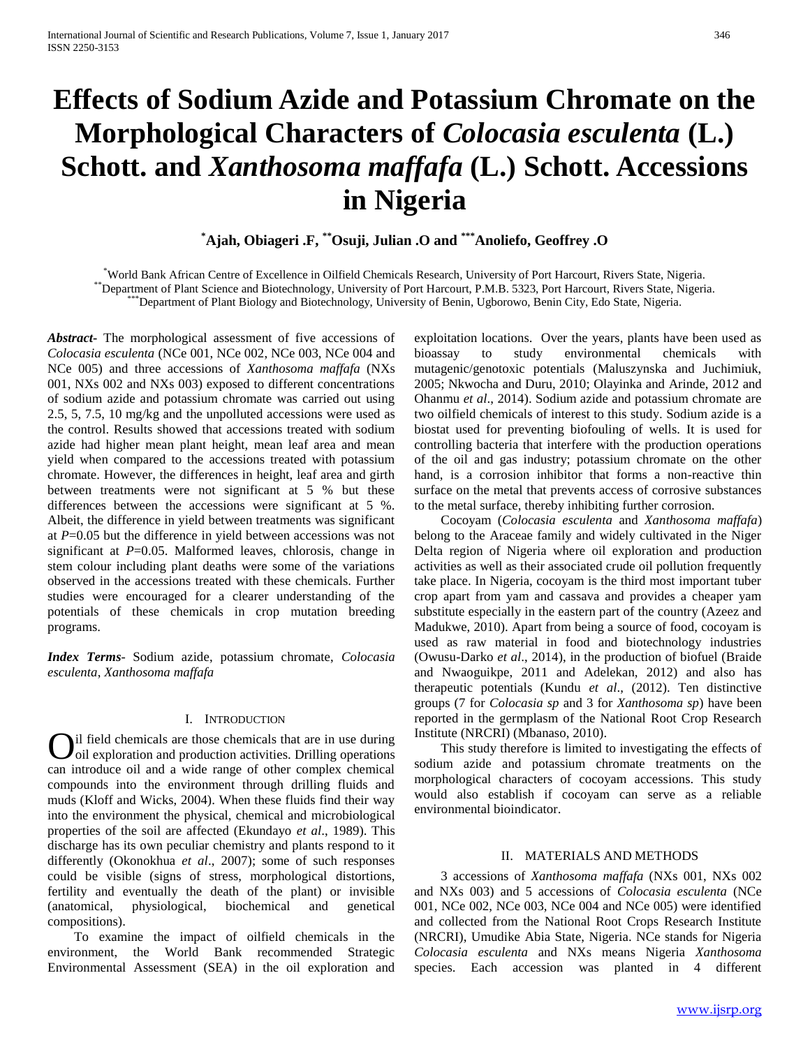# **Effects of Sodium Azide and Potassium Chromate on the Morphological Characters of** *Colocasia esculenta* **(L.) Schott. and** *Xanthosoma maffafa* **(L.) Schott. Accessions in Nigeria**

**\*Ajah, Obiageri .F, \*\*Osuji, Julian .O and \*\*\*Anoliefo, Geoffrey .O**

\*World Bank African Centre of Excellence in Oilfield Chemicals Research, University of Port Harcourt, Rivers State, Nigeria. \*\*Department of Plant Science and Biotechnology, University of Port Harcourt, P.M.B. 5323, Port Harcourt, Rivers State, Nigeria. \*\*\*Department of Plant Biology and Biotechnology, University of Benin, Ugborowo, Benin City, Edo State, Nigeria.

*Abstract***-** The morphological assessment of five accessions of *Colocasia esculenta* (NCe 001, NCe 002, NCe 003, NCe 004 and NCe 005) and three accessions of *Xanthosoma maffafa* (NXs 001, NXs 002 and NXs 003) exposed to different concentrations of sodium azide and potassium chromate was carried out using 2.5, 5, 7.5, 10 mg/kg and the unpolluted accessions were used as the control. Results showed that accessions treated with sodium azide had higher mean plant height, mean leaf area and mean yield when compared to the accessions treated with potassium chromate. However, the differences in height, leaf area and girth between treatments were not significant at 5 % but these differences between the accessions were significant at 5 %. Albeit, the difference in yield between treatments was significant at *P*=0.05 but the difference in yield between accessions was not significant at *P*=0.05. Malformed leaves, chlorosis, change in stem colour including plant deaths were some of the variations observed in the accessions treated with these chemicals. Further studies were encouraged for a clearer understanding of the potentials of these chemicals in crop mutation breeding programs.

*Index Terms*- Sodium azide, potassium chromate, *Colocasia esculenta*, *Xanthosoma maffafa*

# I. INTRODUCTION

il field chemicals are those chemicals that are in use during **O**il field chemicals are those chemicals that are in use during oil exploration and production activities. Drilling operations can introduce oil and a wide range of other complex chemical compounds into the environment through drilling fluids and muds (Kloff and Wicks, 2004). When these fluids find their way into the environment the physical, chemical and microbiological properties of the soil are affected (Ekundayo *et al*., 1989). This discharge has its own peculiar chemistry and plants respond to it differently (Okonokhua *et al*., 2007); some of such responses could be visible (signs of stress, morphological distortions, fertility and eventually the death of the plant) or invisible (anatomical, physiological, biochemical and genetical compositions).

 To examine the impact of oilfield chemicals in the environment, the World Bank recommended Strategic Environmental Assessment (SEA) in the oil exploration and exploitation locations. Over the years, plants have been used as bioassay to study environmental chemicals with mutagenic/genotoxic potentials (Maluszynska and Juchimiuk, 2005; Nkwocha and Duru, 2010; Olayinka and Arinde, 2012 and Ohanmu *et al*., 2014). Sodium azide and potassium chromate are two oilfield chemicals of interest to this study. Sodium azide is a biostat used for preventing biofouling of wells. It is used for controlling bacteria that interfere with the production operations of the oil and gas industry; potassium chromate on the other hand, is a corrosion inhibitor that forms a non-reactive thin surface on the metal that prevents access of corrosive substances to the metal surface, thereby inhibiting further corrosion.

 Cocoyam (*Colocasia esculenta* and *Xanthosoma maffafa*) belong to the Araceae family and widely cultivated in the Niger Delta region of Nigeria where oil exploration and production activities as well as their associated crude oil pollution frequently take place. In Nigeria, cocoyam is the third most important tuber crop apart from yam and cassava and provides a cheaper yam substitute especially in the eastern part of the country (Azeez and Madukwe, 2010). Apart from being a source of food, cocoyam is used as raw material in food and biotechnology industries (Owusu-Darko *et al*., 2014), in the production of biofuel (Braide and Nwaoguikpe, 2011 and Adelekan, 2012) and also has therapeutic potentials (Kundu *et al*., (2012). Ten distinctive groups (7 for *Colocasia sp* and 3 for *Xanthosoma sp*) have been reported in the germplasm of the National Root Crop Research Institute (NRCRI) (Mbanaso, 2010).

 This study therefore is limited to investigating the effects of sodium azide and potassium chromate treatments on the morphological characters of cocoyam accessions. This study would also establish if cocoyam can serve as a reliable environmental bioindicator.

## II. MATERIALS AND METHODS

 3 accessions of *Xanthosoma maffafa* (NXs 001, NXs 002 and NXs 003) and 5 accessions of *Colocasia esculenta* (NCe 001, NCe 002, NCe 003, NCe 004 and NCe 005) were identified and collected from the National Root Crops Research Institute (NRCRI), Umudike Abia State, Nigeria. NCe stands for Nigeria *Colocasia esculenta* and NXs means Nigeria *Xanthosoma* species. Each accession was planted in 4 different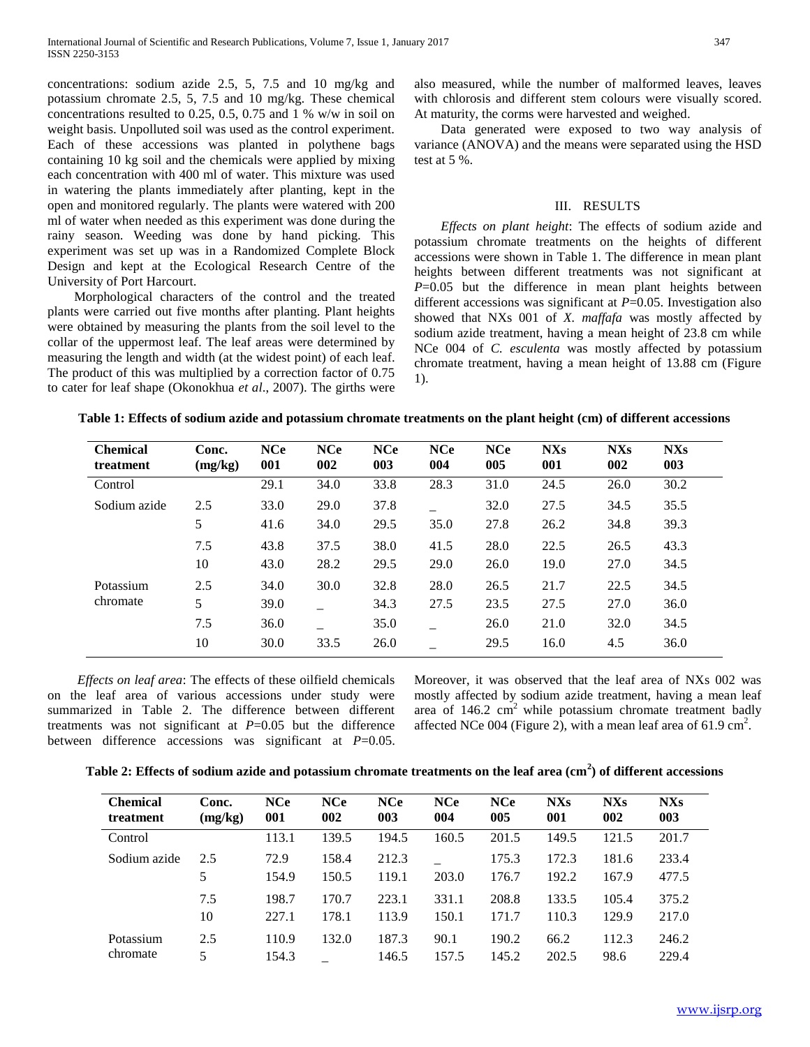concentrations: sodium azide 2.5, 5, 7.5 and 10 mg/kg and potassium chromate 2.5, 5, 7.5 and 10 mg/kg. These chemical concentrations resulted to 0.25, 0.5, 0.75 and 1 % w/w in soil on weight basis. Unpolluted soil was used as the control experiment. Each of these accessions was planted in polythene bags containing 10 kg soil and the chemicals were applied by mixing each concentration with 400 ml of water. This mixture was used in watering the plants immediately after planting, kept in the open and monitored regularly. The plants were watered with 200 ml of water when needed as this experiment was done during the rainy season. Weeding was done by hand picking. This experiment was set up was in a Randomized Complete Block Design and kept at the Ecological Research Centre of the University of Port Harcourt.

 Morphological characters of the control and the treated plants were carried out five months after planting. Plant heights were obtained by measuring the plants from the soil level to the collar of the uppermost leaf. The leaf areas were determined by measuring the length and width (at the widest point) of each leaf. The product of this was multiplied by a correction factor of 0.75 to cater for leaf shape (Okonokhua *et al*., 2007). The girths were

also measured, while the number of malformed leaves, leaves with chlorosis and different stem colours were visually scored. At maturity, the corms were harvested and weighed.

 Data generated were exposed to two way analysis of variance (ANOVA) and the means were separated using the HSD test at 5 %.

## III. RESULTS

 *Effects on plant height*: The effects of sodium azide and potassium chromate treatments on the heights of different accessions were shown in Table 1. The difference in mean plant heights between different treatments was not significant at *P*=0.05 but the difference in mean plant heights between different accessions was significant at *P*=0.05. Investigation also showed that NXs 001 of *X. maffafa* was mostly affected by sodium azide treatment, having a mean height of 23.8 cm while NCe 004 of *C. esculenta* was mostly affected by potassium chromate treatment, having a mean height of 13.88 cm (Figure 1).

| <b>Chemical</b><br>treatment | Conc.<br>(mg/kg) | <b>NCe</b><br>001 | <b>NCe</b><br>002 | <b>NCe</b><br>003 | <b>NCe</b><br>004 | <b>NCe</b><br>005 | <b>NXs</b><br>001 | <b>NXs</b><br>002 | <b>NXs</b><br>003 |
|------------------------------|------------------|-------------------|-------------------|-------------------|-------------------|-------------------|-------------------|-------------------|-------------------|
| Control                      |                  | 29.1              | 34.0              | 33.8              | 28.3              | 31.0              | 24.5              | 26.0              | 30.2              |
| Sodium azide                 | 2.5              | 33.0              | 29.0              | 37.8              |                   | 32.0              | 27.5              | 34.5              | 35.5              |
|                              | 5                | 41.6              | 34.0              | 29.5              | 35.0              | 27.8              | 26.2              | 34.8              | 39.3              |
|                              | 7.5              | 43.8              | 37.5              | 38.0              | 41.5              | 28.0              | 22.5              | 26.5              | 43.3              |
|                              | 10               | 43.0              | 28.2              | 29.5              | 29.0              | 26.0              | 19.0              | 27.0              | 34.5              |
| Potassium                    | 2.5              | 34.0              | 30.0              | 32.8              | 28.0              | 26.5              | 21.7              | 22.5              | 34.5              |
| chromate                     | 5                | 39.0              |                   | 34.3              | 27.5              | 23.5              | 27.5              | 27.0              | 36.0              |
|                              | 7.5              | 36.0              |                   | 35.0              |                   | 26.0              | 21.0              | 32.0              | 34.5              |
|                              | 10               | 30.0              | 33.5              | 26.0              |                   | 29.5              | 16.0              | 4.5               | 36.0              |

 *Effects on leaf area*: The effects of these oilfield chemicals on the leaf area of various accessions under study were summarized in Table 2. The difference between different treatments was not significant at *P*=0.05 but the difference between difference accessions was significant at *P*=0.05. Moreover, it was observed that the leaf area of NXs 002 was mostly affected by sodium azide treatment, having a mean leaf area of  $146.2 \text{ cm}^2$  while potassium chromate treatment badly affected NCe 004 (Figure 2), with a mean leaf area of 61.9 cm<sup>2</sup>.

| Table 2: Effects of sodium azide and potassium chromate treatments on the leaf area $\text{cm}^2$ of different accessions |  |  |
|---------------------------------------------------------------------------------------------------------------------------|--|--|
|                                                                                                                           |  |  |
|                                                                                                                           |  |  |
|                                                                                                                           |  |  |

| <b>Chemical</b><br>treatment | Conc.<br>(mg/kg) | <b>NCe</b><br>001 | <b>NCe</b><br>002 | <b>NCe</b><br>003 | <b>NCe</b><br>004 | <b>NCe</b><br>005 | <b>NXs</b><br>001 | <b>NXs</b><br>002 | <b>NXs</b><br>003 |
|------------------------------|------------------|-------------------|-------------------|-------------------|-------------------|-------------------|-------------------|-------------------|-------------------|
| Control                      |                  | 113.1             | 139.5             | 194.5             | 160.5             | 201.5             | 149.5             | 121.5             | 201.7             |
| Sodium azide                 | 2.5              | 72.9              | 158.4             | 212.3             |                   | 175.3             | 172.3             | 181.6             | 233.4             |
|                              | 5                | 154.9             | 150.5             | 119.1             | 203.0             | 176.7             | 192.2             | 167.9             | 477.5             |
|                              | 7.5              | 198.7             | 170.7             | 223.1             | 331.1             | 208.8             | 133.5             | 105.4             | 375.2             |
|                              | 10               | 227.1             | 178.1             | 113.9             | 150.1             | 171.7             | 110.3             | 129.9             | 217.0             |
| Potassium                    | 2.5              | 110.9             | 132.0             | 187.3             | 90.1              | 190.2             | 66.2              | 112.3             | 246.2             |
| chromate                     | 5                | 154.3             |                   | 146.5             | 157.5             | 145.2             | 202.5             | 98.6              | 229.4             |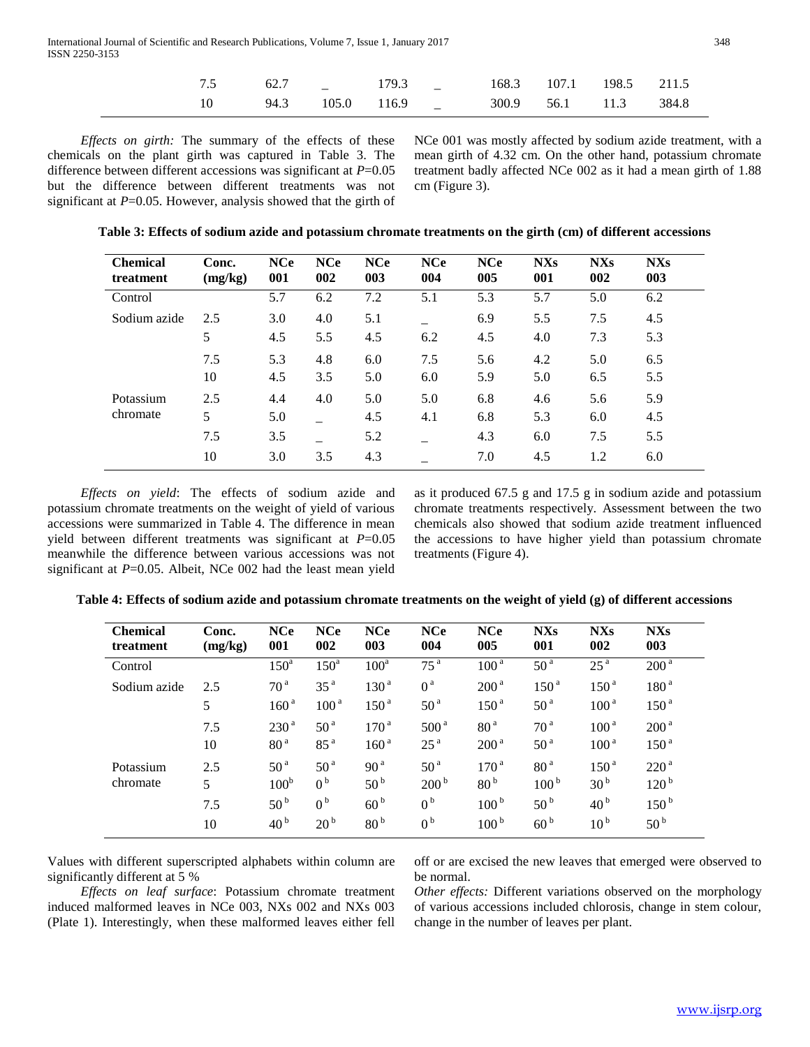| 7.5 62.7 179.3 168.3 107.1 198.5 211.5                                                                |  |   |  |  |
|-------------------------------------------------------------------------------------------------------|--|---|--|--|
| 10 				94.3 							105.0 								116.9 														300.9 									56.1 									11.3 									384.8 |  | _ |  |  |

 *Effects on girth:* The summary of the effects of these chemicals on the plant girth was captured in Table 3. The difference between different accessions was significant at *P*=0.05 but the difference between different treatments was not significant at *P*=0.05. However, analysis showed that the girth of

NCe 001 was mostly affected by sodium azide treatment, with a mean girth of 4.32 cm. On the other hand, potassium chromate treatment badly affected NCe 002 as it had a mean girth of 1.88 cm (Figure 3).

|  | Table 3: Effects of sodium azide and potassium chromate treatments on the girth (cm) of different accessions |  |  |
|--|--------------------------------------------------------------------------------------------------------------|--|--|
|--|--------------------------------------------------------------------------------------------------------------|--|--|

| <b>Chemical</b><br>treatment | Conc.<br>(mg/kg) | <b>NCe</b><br>001 | <b>NCe</b><br>002 | <b>NCe</b><br>003 | <b>NCe</b><br>004 | <b>NCe</b><br>005 | <b>NXs</b><br>001 | <b>NXs</b><br>002 | <b>NXs</b><br>003 |
|------------------------------|------------------|-------------------|-------------------|-------------------|-------------------|-------------------|-------------------|-------------------|-------------------|
| Control                      |                  | 5.7               | 6.2               | 7.2               | 5.1               | 5.3               | 5.7               | 5.0               | 6.2               |
| Sodium azide                 | 2.5              | 3.0               | 4.0               | 5.1               |                   | 6.9               | 5.5               | 7.5               | 4.5               |
|                              | 5                | 4.5               | 5.5               | 4.5               | 6.2               | 4.5               | 4.0               | 7.3               | 5.3               |
|                              | 7.5              | 5.3               | 4.8               | 6.0               | 7.5               | 5.6               | 4.2               | 5.0               | 6.5               |
|                              | 10               | 4.5               | 3.5               | 5.0               | 6.0               | 5.9               | 5.0               | 6.5               | 5.5               |
| Potassium                    | 2.5              | 4.4               | 4.0               | 5.0               | 5.0               | 6.8               | 4.6               | 5.6               | 5.9               |
| chromate                     | 5                | 5.0               |                   | 4.5               | 4.1               | 6.8               | 5.3               | 6.0               | 4.5               |
|                              | 7.5              | 3.5               |                   | 5.2               |                   | 4.3               | 6.0               | 7.5               | 5.5               |
|                              | 10               | 3.0               | 3.5               | 4.3               |                   | 7.0               | 4.5               | 1.2               | 6.0               |

 *Effects on yield*: The effects of sodium azide and potassium chromate treatments on the weight of yield of various accessions were summarized in Table 4. The difference in mean yield between different treatments was significant at *P*=0.05 meanwhile the difference between various accessions was not significant at *P*=0.05. Albeit, NCe 002 had the least mean yield as it produced 67.5 g and 17.5 g in sodium azide and potassium chromate treatments respectively. Assessment between the two chemicals also showed that sodium azide treatment influenced the accessions to have higher yield than potassium chromate treatments (Figure 4).

| <b>Chemical</b><br>treatment | Conc.<br>(mg/kg) | <b>NCe</b><br>001 | <b>NCe</b><br>002 | <b>NCe</b><br>003 | <b>NCe</b><br>004 | <b>NCe</b><br>005 | <b>NXs</b><br>001 | <b>NXs</b><br>002 | <b>NXs</b><br>003 |
|------------------------------|------------------|-------------------|-------------------|-------------------|-------------------|-------------------|-------------------|-------------------|-------------------|
| Control                      |                  | $150^{\circ}$     | $150^a$           | $100^a$           | 75 <sup>a</sup>   | 100 <sup>a</sup>  | 50 <sup>a</sup>   | 25 <sup>a</sup>   | 200 <sup>a</sup>  |
| Sodium azide                 | 2.5              | 70 <sup>a</sup>   | 35 <sup>a</sup>   | 130 <sup>a</sup>  | 0 <sup>a</sup>    | 200 <sup>a</sup>  | 150 <sup>a</sup>  | 150 <sup>a</sup>  | 180 <sup>a</sup>  |
|                              | 5                | 160 <sup>a</sup>  | 100 <sup>a</sup>  | 150 <sup>a</sup>  | 50 <sup>a</sup>   | 150 <sup>a</sup>  | 50 <sup>a</sup>   | 100 <sup>a</sup>  | 150 <sup>a</sup>  |
|                              | 7.5              | 230 <sup>a</sup>  | 50 <sup>a</sup>   | 170 <sup>a</sup>  | 500 <sup>a</sup>  | 80 <sup>a</sup>   | 70 <sup>a</sup>   | 100 <sup>a</sup>  | 200 <sup>a</sup>  |
|                              | 10               | 80 <sup>a</sup>   | 85 <sup>a</sup>   | 160 <sup>a</sup>  | 25 <sup>a</sup>   | 200 <sup>a</sup>  | 50 <sup>a</sup>   | 100 <sup>a</sup>  | 150 <sup>a</sup>  |
| Potassium                    | 2.5              | 50 <sup>a</sup>   | 50 <sup>a</sup>   | 90 <sup>a</sup>   | 50 <sup>a</sup>   | 170 <sup>a</sup>  | 80 <sup>a</sup>   | 150 <sup>a</sup>  | 220 <sup>a</sup>  |
| chromate                     | 5                | 100 <sup>b</sup>  | 0 <sup>b</sup>    | 50 <sup>b</sup>   | 200 <sup>b</sup>  | 80 <sup>b</sup>   | 100 <sup>b</sup>  | 30 <sup>b</sup>   | 120 <sup>b</sup>  |
|                              | 7.5              | 50 <sup>b</sup>   | 0 <sup>b</sup>    | 60 <sup>b</sup>   | 0 <sup>b</sup>    | 100 <sup>b</sup>  | 50 <sup>b</sup>   | 40 <sup>b</sup>   | 150 <sup>b</sup>  |
|                              | 10               | 40 <sup>b</sup>   | 20 <sup>b</sup>   | 80 <sup>b</sup>   | 0 <sup>b</sup>    | 100 <sup>b</sup>  | 60 <sup>b</sup>   | 10 <sup>b</sup>   | 50 <sup>b</sup>   |

**Table 4: Effects of sodium azide and potassium chromate treatments on the weight of yield (g) of different accessions**

Values with different superscripted alphabets within column are significantly different at 5 %

 *Effects on leaf surface*: Potassium chromate treatment induced malformed leaves in NCe 003, NXs 002 and NXs 003 (Plate 1). Interestingly, when these malformed leaves either fell off or are excised the new leaves that emerged were observed to be normal.

*Other effects:* Different variations observed on the morphology of various accessions included chlorosis, change in stem colour, change in the number of leaves per plant.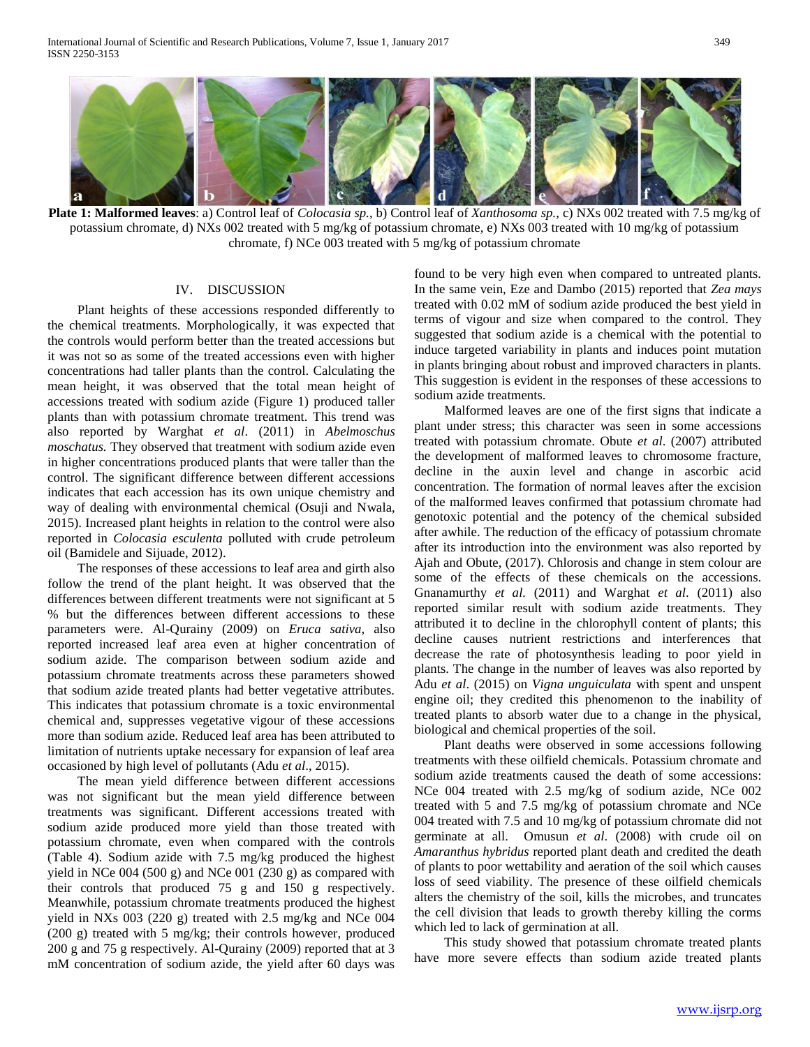

**Plate 1: Malformed leaves**: a) Control leaf of *Colocasia sp.*, b) Control leaf of *Xanthosoma sp.,* c) NXs 002 treated with 7.5 mg/kg of potassium chromate, d) NXs 002 treated with 5 mg/kg of potassium chromate, e) NXs 003 treated with 10 mg/kg of potassium chromate, f) NCe 003 treated with 5 mg/kg of potassium chromate

# IV. DISCUSSION

 Plant heights of these accessions responded differently to the chemical treatments. Morphologically, it was expected that the controls would perform better than the treated accessions but it was not so as some of the treated accessions even with higher concentrations had taller plants than the control. Calculating the mean height, it was observed that the total mean height of accessions treated with sodium azide (Figure 1) produced taller plants than with potassium chromate treatment. This trend was also reported by Warghat *et al*. (2011) in *Abelmoschus moschatus.* They observed that treatment with sodium azide even in higher concentrations produced plants that were taller than the control. The significant difference between different accessions indicates that each accession has its own unique chemistry and way of dealing with environmental chemical (Osuji and Nwala, 2015). Increased plant heights in relation to the control were also reported in *Colocasia esculenta* polluted with crude petroleum oil (Bamidele and Sijuade, 2012).

 The responses of these accessions to leaf area and girth also follow the trend of the plant height. It was observed that the differences between different treatments were not significant at 5 % but the differences between different accessions to these parameters were. Al-Qurainy (2009) on *Eruca sativa,* also reported increased leaf area even at higher concentration of sodium azide. The comparison between sodium azide and potassium chromate treatments across these parameters showed that sodium azide treated plants had better vegetative attributes. This indicates that potassium chromate is a toxic environmental chemical and, suppresses vegetative vigour of these accessions more than sodium azide. Reduced leaf area has been attributed to limitation of nutrients uptake necessary for expansion of leaf area occasioned by high level of pollutants (Adu *et al*., 2015).

 The mean yield difference between different accessions was not significant but the mean yield difference between treatments was significant. Different accessions treated with sodium azide produced more yield than those treated with potassium chromate, even when compared with the controls (Table 4). Sodium azide with 7.5 mg/kg produced the highest yield in NCe 004 (500 g) and NCe 001 (230 g) as compared with their controls that produced 75 g and 150 g respectively. Meanwhile, potassium chromate treatments produced the highest yield in NXs 003 (220 g) treated with 2.5 mg/kg and NCe 004 (200 g) treated with 5 mg/kg; their controls however, produced 200 g and 75 g respectively. Al-Qurainy (2009) reported that at 3 mM concentration of sodium azide, the yield after 60 days was

found to be very high even when compared to untreated plants. In the same vein, Eze and Dambo (2015) reported that *Zea mays* treated with 0.02 mM of sodium azide produced the best yield in terms of vigour and size when compared to the control. They suggested that sodium azide is a chemical with the potential to induce targeted variability in plants and induces point mutation in plants bringing about robust and improved characters in plants. This suggestion is evident in the responses of these accessions to sodium azide treatments.

 Malformed leaves are one of the first signs that indicate a plant under stress; this character was seen in some accessions treated with potassium chromate. Obute *et al*. (2007) attributed the development of malformed leaves to chromosome fracture, decline in the auxin level and change in ascorbic acid concentration. The formation of normal leaves after the excision of the malformed leaves confirmed that potassium chromate had genotoxic potential and the potency of the chemical subsided after awhile. The reduction of the efficacy of potassium chromate after its introduction into the environment was also reported by Ajah and Obute, (2017). Chlorosis and change in stem colour are some of the effects of these chemicals on the accessions. Gnanamurthy *et al.* (2011) and Warghat *et al*. (2011) also reported similar result with sodium azide treatments. They attributed it to decline in the chlorophyll content of plants; this decline causes nutrient restrictions and interferences that decrease the rate of photosynthesis leading to poor yield in plants. The change in the number of leaves was also reported by Adu *et al*. (2015) on *Vigna unguiculata* with spent and unspent engine oil; they credited this phenomenon to the inability of treated plants to absorb water due to a change in the physical, biological and chemical properties of the soil.

 Plant deaths were observed in some accessions following treatments with these oilfield chemicals. Potassium chromate and sodium azide treatments caused the death of some accessions: NCe 004 treated with 2.5 mg/kg of sodium azide, NCe 002 treated with 5 and 7.5 mg/kg of potassium chromate and NCe 004 treated with 7.5 and 10 mg/kg of potassium chromate did not germinate at all. Omusun *et al*. (2008) with crude oil on *Amaranthus hybridus* reported plant death and credited the death of plants to poor wettability and aeration of the soil which causes loss of seed viability. The presence of these oilfield chemicals alters the chemistry of the soil, kills the microbes, and truncates the cell division that leads to growth thereby killing the corms which led to lack of germination at all.

 This study showed that potassium chromate treated plants have more severe effects than sodium azide treated plants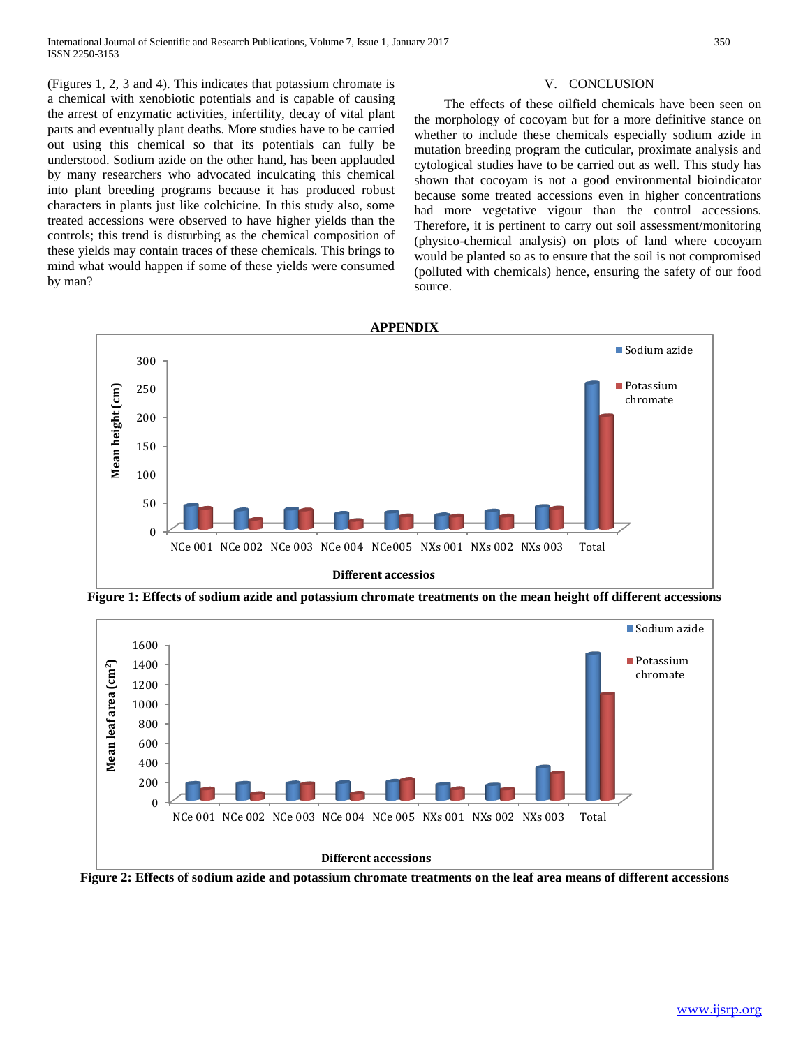(Figures 1, 2, 3 and 4). This indicates that potassium chromate is a chemical with xenobiotic potentials and is capable of causing the arrest of enzymatic activities, infertility, decay of vital plant parts and eventually plant deaths. More studies have to be carried out using this chemical so that its potentials can fully be understood. Sodium azide on the other hand, has been applauded by many researchers who advocated inculcating this chemical into plant breeding programs because it has produced robust characters in plants just like colchicine. In this study also, some treated accessions were observed to have higher yields than the controls; this trend is disturbing as the chemical composition of these yields may contain traces of these chemicals. This brings to mind what would happen if some of these yields were consumed by man?

# V. CONCLUSION

 The effects of these oilfield chemicals have been seen on the morphology of cocoyam but for a more definitive stance on whether to include these chemicals especially sodium azide in mutation breeding program the cuticular, proximate analysis and cytological studies have to be carried out as well. This study has shown that cocoyam is not a good environmental bioindicator because some treated accessions even in higher concentrations had more vegetative vigour than the control accessions. Therefore, it is pertinent to carry out soil assessment/monitoring (physico-chemical analysis) on plots of land where cocoyam would be planted so as to ensure that the soil is not compromised (polluted with chemicals) hence, ensuring the safety of our food source.



**Figure 1: Effects of sodium azide and potassium chromate treatments on the mean height off different accessions**

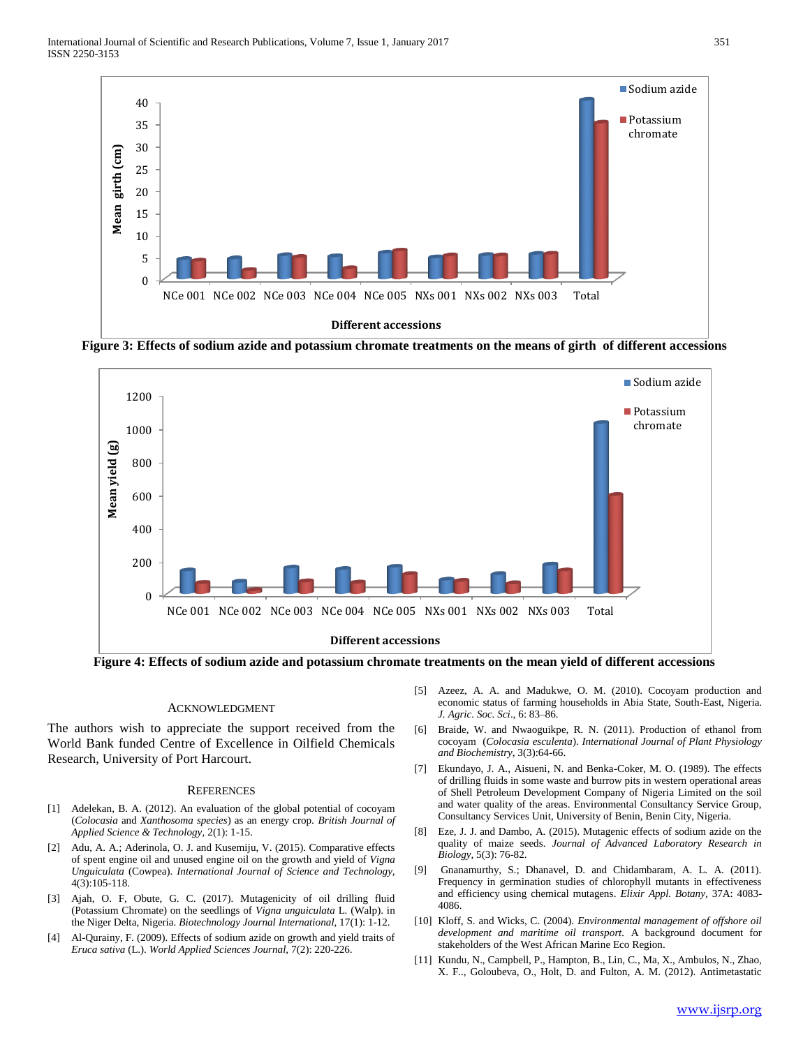

**Figure 3: Effects of sodium azide and potassium chromate treatments on the means of girth of different accessions**



**Figure 4: Effects of sodium azide and potassium chromate treatments on the mean yield of different accessions**

### ACKNOWLEDGMENT

The authors wish to appreciate the support received from the World Bank funded Centre of Excellence in Oilfield Chemicals Research, University of Port Harcourt.

#### **REFERENCES**

- [1] Adelekan, B. A. (2012). An evaluation of the global potential of cocoyam (*Colocasia* and *Xanthosoma species*) as an energy crop. *British Journal of Applied Science & Technology,* 2(1): 1-15.
- [2] Adu, A. A.; Aderinola, O. J. and Kusemiju, V. (2015). Comparative effects of spent engine oil and unused engine oil on the growth and yield of *Vigna Unguiculata* (Cowpea). *International Journal of Science and Technology,* 4(3):105-118.
- [3] Ajah, O. F, Obute, G. C. (2017). Mutagenicity of oil drilling fluid (Potassium Chromate) on the seedlings of *Vigna unguiculata* L. (Walp). in the Niger Delta, Nigeria. *Biotechnology Journal International*, 17(1): 1-12.
- [4] Al-Qurainy, F. (2009). Effects of sodium azide on growth and yield traits of *Eruca sativa* (L.). *World Applied Sciences Journal,* 7(2): 220-226.
- [5] Azeez, A. A. and Madukwe, O. M. (2010). Cocoyam production and economic status of farming households in Abia State, South-East, Nigeria. *J. Agric. Soc. Sci*., 6: 83–86.
- [6] Braide, W. and Nwaoguikpe, R. N. (2011). Production of ethanol from cocoyam (*Colocasia esculenta*). *International Journal of Plant Physiology and Biochemistry,* 3(3):64-66.
- [7] Ekundayo, J. A., Aisueni, N. and Benka-Coker, M. O. (1989). The effects of drilling fluids in some waste and burrow pits in western operational areas of Shell Petroleum Development Company of Nigeria Limited on the soil and water quality of the areas. Environmental Consultancy Service Group, Consultancy Services Unit, University of Benin, Benin City, Nigeria.
- [8] Eze, J. J. and Dambo, A. (2015). Mutagenic effects of sodium azide on the quality of maize seeds. *Journal of Advanced Laboratory Research in Biology,* 5(3): 76-82.
- [9] Gnanamurthy, S.; Dhanavel, D. and Chidambaram, A. L. A. (2011). Frequency in germination studies of chlorophyll mutants in effectiveness and efficiency using chemical mutagens. *Elixir Appl*. *Botany,* 37A: 4083- 4086.
- [10] Kloff, S. and Wicks, C. (2004). *Environmental management of offshore oil development and maritime oil transport.* A background document for stakeholders of the West African Marine Eco Region.
- [11] Kundu, N., Campbell, P., Hampton, B., Lin, C., Ma, X., Ambulos, N., Zhao, X. F.., Goloubeva, O., Holt, D. and Fulton, A. M. (2012). Antimetastatic